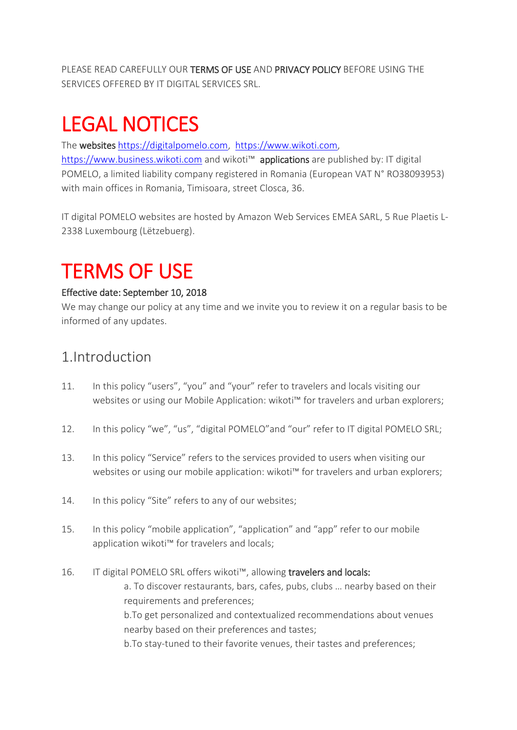PLEASE READ CAREFULLY OUR TERMS OF USE AND PRIVACY POLICY BEFORE USING THE SERVICES OFFERED BY IT DIGITAL SERVICES SRL.

# LEGAL NOTICES

The websites [https://digitalpomelo.com,](https://digitalpomelo.com/) [https://www.wikoti.com,](https://www.wikoti.com/) [https://www.business.wikoti.com](https://www.business.wikoti.com/) and wikoti™ applications are published by: IT digital POMELO, a limited liability company registered in Romania (European VAT N° RO38093953) with main offices in Romania, Timisoara, street Closca, 36.

IT digital POMELO websites are hosted by Amazon Web Services EMEA SARL, 5 Rue Plaetis L-2338 Luxembourg (Lëtzebuerg).

# TERMS OF USE

#### Effective date: September 10, 2018

We may change our policy at any time and we invite you to review it on a regular basis to be informed of any updates.

### 1.Introduction

- 11. In this policy "users", "you" and "your" refer to travelers and locals visiting our websites or using our Mobile Application: wikoti™ for travelers and urban explorers;
- 12. In this policy "we", "us", "digital POMELO"and "our" refer to IT digital POMELO SRL;
- 13. In this policy "Service" refers to the services provided to users when visiting our websites or using our mobile application: wikoti™ for travelers and urban explorers;
- 14. In this policy "Site" refers to any of our websites;
- 15. In this policy "mobile application", "application" and "app" refer to our mobile application wikoti™ for travelers and locals;
- 16. IT digital POMELO SRL offers wikoti™, allowing travelers and locals: a. To discover restaurants, bars, cafes, pubs, clubs … nearby based on their requirements and preferences; b.To get personalized and contextualized recommendations about venues nearby based on their preferences and tastes; b.To stay-tuned to their favorite venues, their tastes and preferences;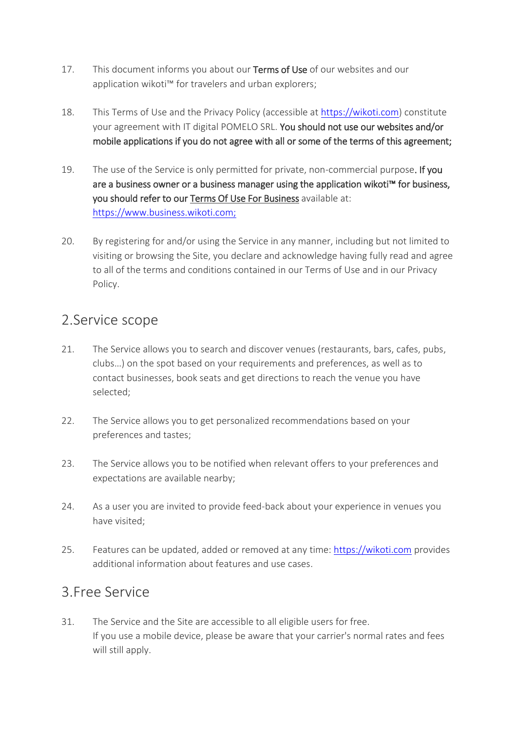- 17. This document informs you about our Terms of Use of our websites and our application wikoti™ for travelers and urban explorers;
- 18. This Terms of Use and the Privacy Policy (accessible at [https://wikoti.com\)](https://wikoti.com/) constitute your agreement with IT digital POMELO SRL. You should not use our websites and/or mobile applications if you do not agree with all or some of the terms of this agreement;
- 19. The use of the Service is only permitted for private, non-commercial purpose. If you are a business owner or a business manager using the application wikoti™ for business, you should refer to our Terms Of Use For Business available at: [https://www.business.wikoti.com;](https://www.business.wikoti.com/)
- 20. By registering for and/or using the Service in any manner, including but not limited to visiting or browsing the Site, you declare and acknowledge having fully read and agree to all of the terms and conditions contained in our Terms of Use and in our Privacy Policy.

#### 2.Service scope

- 21. The Service allows you to search and discover venues (restaurants, bars, cafes, pubs, clubs…) on the spot based on your requirements and preferences, as well as to contact businesses, book seats and get directions to reach the venue you have selected;
- 22. The Service allows you to get personalized recommendations based on your preferences and tastes;
- 23. The Service allows you to be notified when relevant offers to your preferences and expectations are available nearby;
- 24. As a user you are invited to provide feed-back about your experience in venues you have visited;
- 25. Features can be updated, added or removed at any time: [https://wikoti.com](https://wikoti.com/) provides additional information about features and use cases.

#### 3.Free Service

31. The Service and the Site are accessible to all eligible users for free. If you use a mobile device, please be aware that your carrier's normal rates and fees will still apply.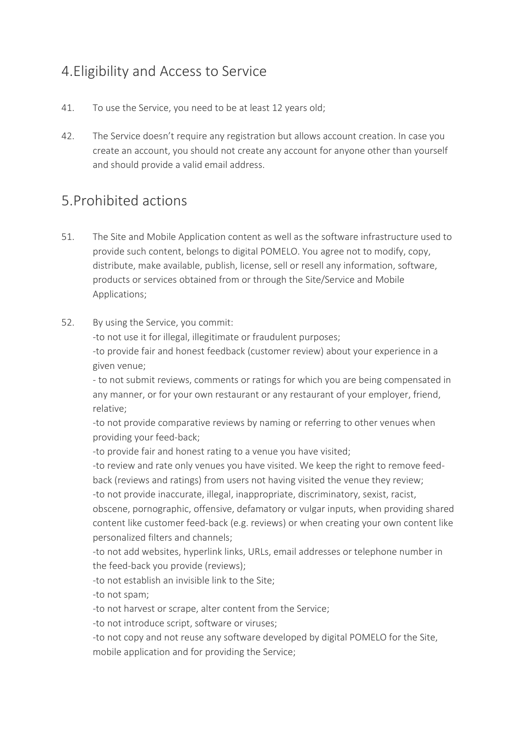# 4.Eligibility and Access to Service

- 41. To use the Service, you need to be at least 12 years old;
- 42. The Service doesn't require any registration but allows account creation. In case you create an account, you should not create any account for anyone other than yourself and should provide a valid email address.

### 5.Prohibited actions

- 51. The Site and Mobile Application content as well as the software infrastructure used to provide such content, belongs to digital POMELO. You agree not to modify, copy, distribute, make available, publish, license, sell or resell any information, software, products or services obtained from or through the Site/Service and Mobile Applications;
- 52. By using the Service, you commit:

-to not use it for illegal, illegitimate or fraudulent purposes;

-to provide fair and honest feedback (customer review) about your experience in a given venue;

- to not submit reviews, comments or ratings for which you are being compensated in any manner, or for your own restaurant or any restaurant of your employer, friend, relative;

-to not provide comparative reviews by naming or referring to other venues when providing your feed-back;

-to provide fair and honest rating to a venue you have visited;

-to review and rate only venues you have visited. We keep the right to remove feedback (reviews and ratings) from users not having visited the venue they review;

-to not provide inaccurate, illegal, inappropriate, discriminatory, sexist, racist,

obscene, pornographic, offensive, defamatory or vulgar inputs, when providing shared content like customer feed-back (e.g. reviews) or when creating your own content like personalized filters and channels;

-to not add websites, hyperlink links, URLs, email addresses or telephone number in the feed-back you provide (reviews);

-to not establish an invisible link to the Site;

-to not spam;

-to not harvest or scrape, alter content from the Service;

-to not introduce script, software or viruses;

-to not copy and not reuse any software developed by digital POMELO for the Site, mobile application and for providing the Service;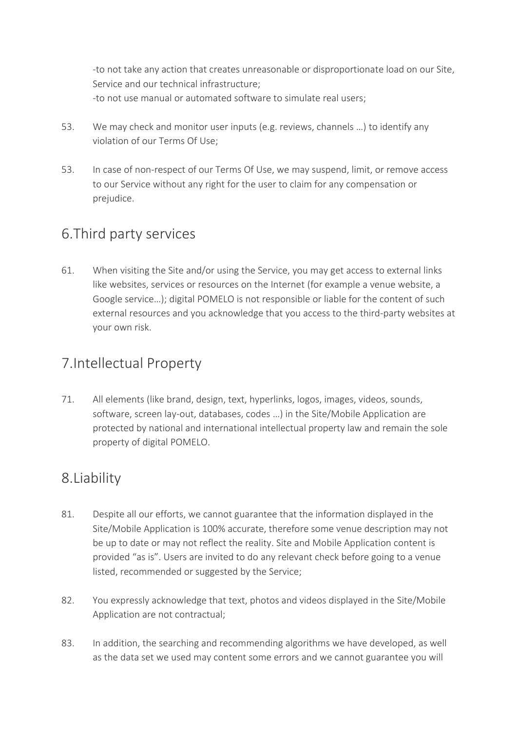-to not take any action that creates unreasonable or disproportionate load on our Site, Service and our technical infrastructure; -to not use manual or automated software to simulate real users;

- 53. We may check and monitor user inputs (e.g. reviews, channels …) to identify any violation of our Terms Of Use;
- 53. In case of non-respect of our Terms Of Use, we may suspend, limit, or remove access to our Service without any right for the user to claim for any compensation or prejudice.

# 6.Third party services

61. When visiting the Site and/or using the Service, you may get access to external links like websites, services or resources on the Internet (for example a venue website, a Google service…); digital POMELO is not responsible or liable for the content of such external resources and you acknowledge that you access to the third-party websites at your own risk.

# 7.Intellectual Property

71. All elements (like brand, design, text, hyperlinks, logos, images, videos, sounds, software, screen lay-out, databases, codes …) in the Site/Mobile Application are protected by national and international intellectual property law and remain the sole property of digital POMELO.

# 8.Liability

- 81. Despite all our efforts, we cannot guarantee that the information displayed in the Site/Mobile Application is 100% accurate, therefore some venue description may not be up to date or may not reflect the reality. Site and Mobile Application content is provided "as is". Users are invited to do any relevant check before going to a venue listed, recommended or suggested by the Service;
- 82. You expressly acknowledge that text, photos and videos displayed in the Site/Mobile Application are not contractual;
- 83. In addition, the searching and recommending algorithms we have developed, as well as the data set we used may content some errors and we cannot guarantee you will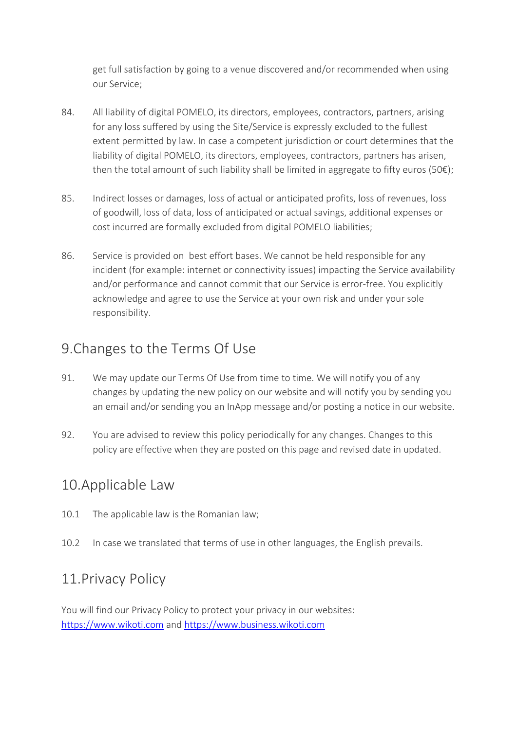get full satisfaction by going to a venue discovered and/or recommended when using our Service;

- 84. All liability of digital POMELO, its directors, employees, contractors, partners, arising for any loss suffered by using the Site/Service is expressly excluded to the fullest extent permitted by law. In case a competent jurisdiction or court determines that the liability of digital POMELO, its directors, employees, contractors, partners has arisen, then the total amount of such liability shall be limited in aggregate to fifty euros (50 $\varepsilon$ );
- 85. Indirect losses or damages, loss of actual or anticipated profits, loss of revenues, loss of goodwill, loss of data, loss of anticipated or actual savings, additional expenses or cost incurred are formally excluded from digital POMELO liabilities;
- 86. Service is provided on best effort bases. We cannot be held responsible for any incident (for example: internet or connectivity issues) impacting the Service availability and/or performance and cannot commit that our Service is error-free. You explicitly acknowledge and agree to use the Service at your own risk and under your sole responsibility.

#### 9.Changes to the Terms Of Use

- 91. We may update our Terms Of Use from time to time. We will notify you of any changes by updating the new policy on our website and will notify you by sending you an email and/or sending you an InApp message and/or posting a notice in our website.
- 92. You are advised to review this policy periodically for any changes. Changes to this policy are effective when they are posted on this page and revised date in updated.

#### 10.Applicable Law

- 10.1 The applicable law is the Romanian law;
- 10.2 In case we translated that terms of use in other languages, the English prevails.

#### 11.Privacy Policy

You will find our Privacy Policy to protect your privacy in our websites: [https://www.wikoti.com](https://www.wikoti.com/) and [https://www.business.wikoti.com](https://www.business.wikoti.com/)